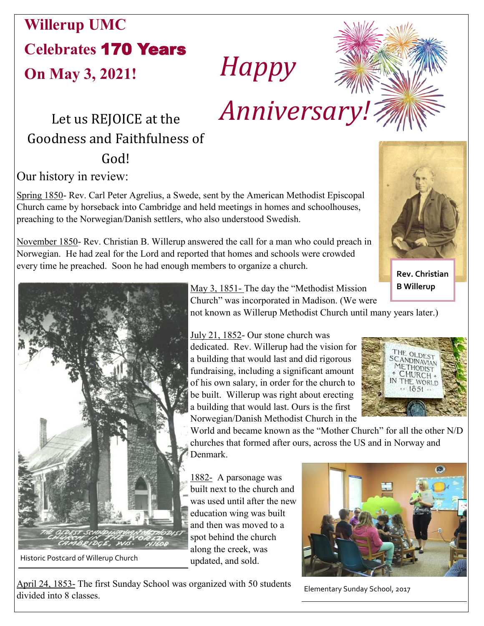## **Willerup UMC Celebrates** 170 Years  **On May 3, 2021!**

## *Happy*



## Let us REJOICE at the Goodness and Faithfulness of God!

Our history in review:

Spring 1850- Rev. Carl Peter Agrelius, a Swede, sent by the American Methodist Episcopal Church came by horseback into Cambridge and held meetings in homes and schoolhouses, preaching to the Norwegian/Danish settlers, who also understood Swedish.

November 1850- Rev. Christian B. Willerup answered the call for a man who could preach in Norwegian. He had zeal for the Lord and reported that homes and schools were crowded every time he preached. Soon he had enough members to organize a church.



**Rev. Christian B Willerup**



Historic Postcard of Willerup Church

May 3, 1851- The day the "Methodist Mission Church" was incorporated in Madison. (We were

not known as Willerup Methodist Church until many years later.)

July 21, 1852- Our stone church was

dedicated. Rev. Willerup had the vision for a building that would last and did rigorous fundraising, including a significant amount of his own salary, in order for the church to be built. Willerup was right about erecting a building that would last. Ours is the first Norwegian/Danish Methodist Church in the



World and became known as the "Mother Church" for all the other N/D churches that formed after ours, across the US and in Norway and Denmark.

1882- A parsonage was built next to the church and was used until after the new education wing was built and then was moved to a spot behind the church along the creek, was updated, and sold.



April 24, 1853- The first Sunday School was organized with 50 students divided into 8 classes.

Elementary Sunday School, 2017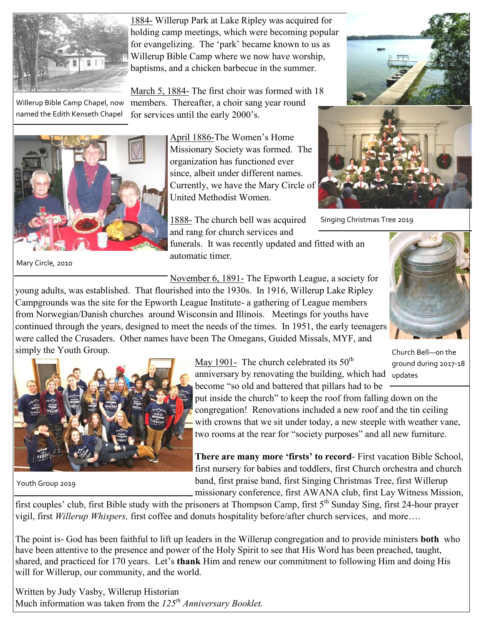

1884- Willerup Park at Lake Ripley was acquired for holding camp meetings, which were becoming popular for evangelizing. The 'park' became known to us as Willerup Bible Camp where we now have worship, baptisms, and a chicken barbecue in the summer.

March 5, 1884- The first choir was formed with 18 members. Thereafter, a choir sang year round for services until the early 2000's. Willerup Bible Camp Chapel, now named the Edith Kenseth Chapel



April 1886-The Women's Home Missionary Society was formed. The organization has functioned ever since, albeit under different names. Currently, we have the Mary Circle of United Methodist Women.

1888- The church bell was acquired and rang for church services and

funerals. It was recently updated and fitted with an automatic timer.

November 6, 1891- The Epworth League, a society for

young adults, was established. That flourished into the 1930s. In 1916, Willerup Lake Ripley Campgrounds was the site for the Epworth League Institute- a gathering of League members from Norwegian/Danish churches around Wisconsin and Illinois. Meetings for youths have continued through the years, designed to meet the needs of the times. In 1951, the early teenagers were called the Crusaders. Other names have been The Omegans, Guided Missals, MYF, and simply the Youth Group.



Church Bell—on the ground during 2017-18



Youth Group 2019

May 1901- The church celebrated its  $50<sup>th</sup>$ anniversary by renovating the building, which had updates become "so old and battered that pillars had to be

put inside the church" to keep the roof from falling down on the congregation! Renovations included a new roof and the tin ceiling with crowns that we sit under today, a new steeple with weather vane, two rooms at the rear for "society purposes" and all new furniture.

**There are many more 'firsts' to record**- First vacation Bible School, first nursery for babies and toddlers, first Church orchestra and church band, first praise band, first Singing Christmas Tree, first Willerup missionary conference, first AWANA club, first Lay Witness Mission,

first couples' club, first Bible study with the prisoners at Thompson Camp, first  $5<sup>th</sup>$  Sunday Sing, first 24-hour prayer vigil, first *Willerup Whispers,* first coffee and donuts hospitality before/after church services, and more….

The point is- God has been faithful to lift up leaders in the Willerup congregation and to provide ministers **both** who have been attentive to the presence and power of the Holy Spirit to see that His Word has been preached, taught, shared, and practiced for 170 years. Let's **thank** Him and renew our commitment to following Him and doing His will for Willerup, our community, and the world.

Written by Judy Vasby, Willerup Historian Much information was taken from the *125th Anniversary Booklet.*



Singing Christmas Tree 2019

Mary Circle, 2010